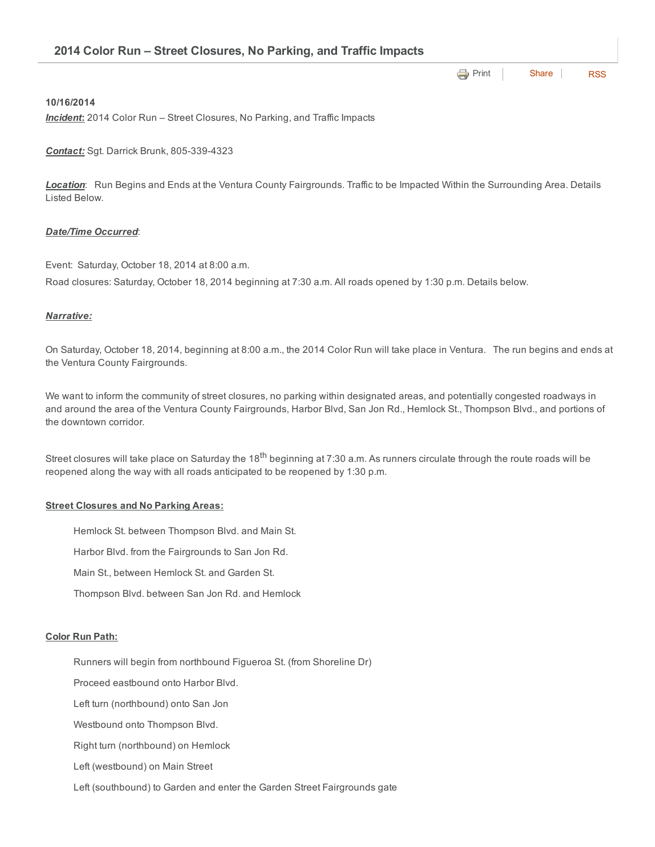**[Print](http://www.cityofventura.net/print/16175)** | [Share](javascript:void(0)) | [RSS](http://www.cityofventura.net/feed/press_release/rss.xml)

# 10/16/2014

*Incident*: 2014 Color Run – Street Closures, No Parking, and Traffic Impacts

**Contact:** Sgt. Darrick Brunk, 805-339-4323

*Location*: Run Begins and Ends at the Ventura County Fairgrounds. Traffic to be Impacted Within the Surrounding Area. Details Listed Below.

## *Date/Time Occurred*:

Event: Saturday, October 18, 2014 at 8:00 a.m.

Road closures: Saturday, October 18, 2014 beginning at 7:30 a.m. All roads opened by 1:30 p.m. Details below.

## *Narrative:*

On Saturday, October 18, 2014, beginning at 8:00 a.m., the 2014 Color Run will take place in Ventura. The run begins and ends at the Ventura County Fairgrounds.

We want to inform the community of street closures, no parking within designated areas, and potentially congested roadways in and around the area of the Ventura County Fairgrounds, Harbor Blvd, San Jon Rd., Hemlock St., Thompson Blvd., and portions of the downtown corridor.

Street closures will take place on Saturday the 18<sup>th</sup> beginning at 7:30 a.m. As runners circulate through the route roads will be reopened along the way with all roads anticipated to be reopened by 1:30 p.m.

#### **Street Closures and No Parking Areas:**

Hemlock St. between Thompson Blvd. and Main St.

Harbor Blvd. from the Fairgrounds to San Jon Rd.

Main St., between Hemlock St. and Garden St.

Thompson Blvd. between San Jon Rd. and Hemlock

#### Color Run Path:

Runners will begin from northbound Figueroa St. (from Shoreline Dr)

Proceed eastbound onto Harbor Blvd.

Left turn (northbound) onto San Jon

Westbound onto Thompson Blvd.

Right turn (northbound) on Hemlock

Left (westbound) on Main Street

Left (southbound) to Garden and enter the Garden Street Fairgrounds gate